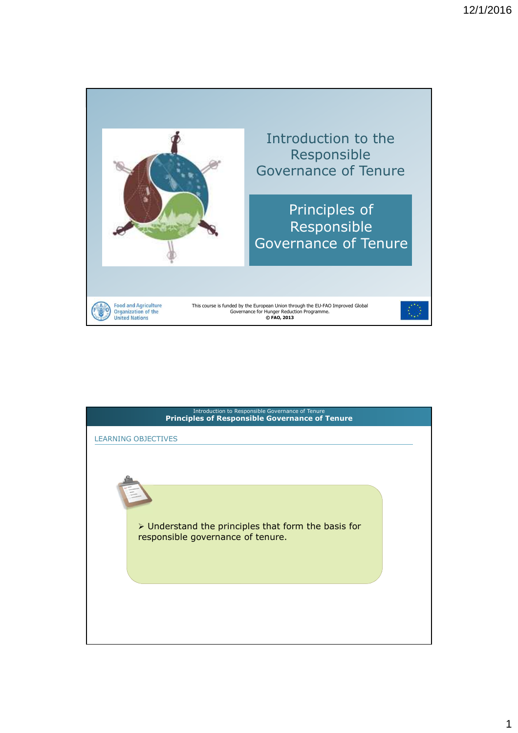

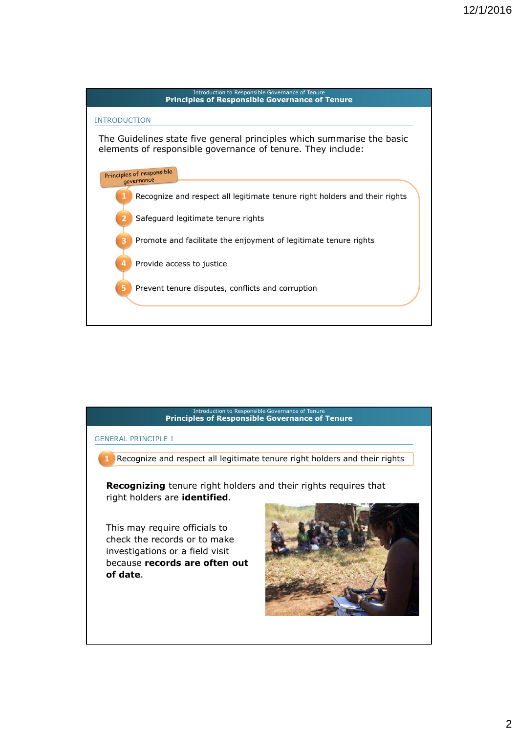

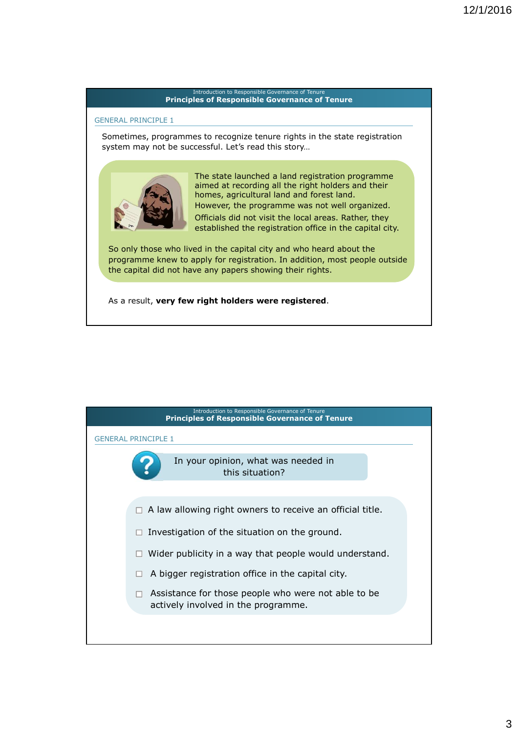#### GENERAL PRINCIPLE 1

Sometimes, programmes to recognize tenure rights in the state registration system may not be successful. Let's read this story…



The state launched a land registration programme aimed at recording all the right holders and their homes, agricultural land and forest land. However, the programme was not well organized. Officials did not visit the local areas. Rather, they established the registration office in the capital city.

So only those who lived in the capital city and who heard about the programme knew to apply for registration. In addition, most people outside the capital did not have any papers showing their rights.

As a result, **very few right holders were registered**.

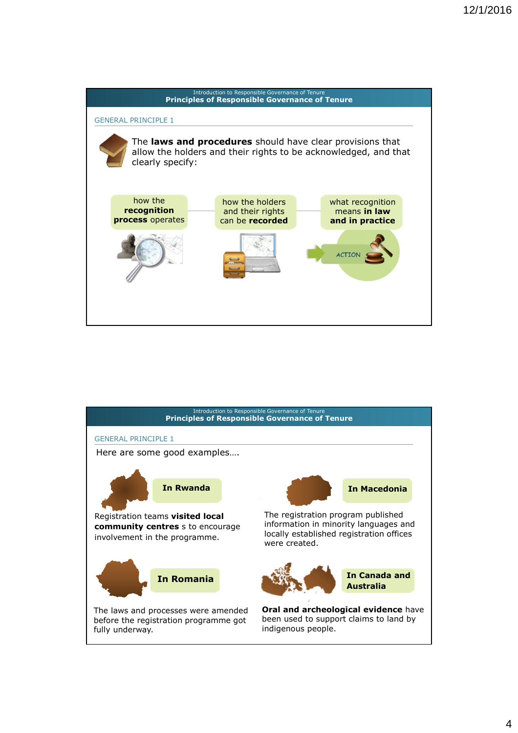



4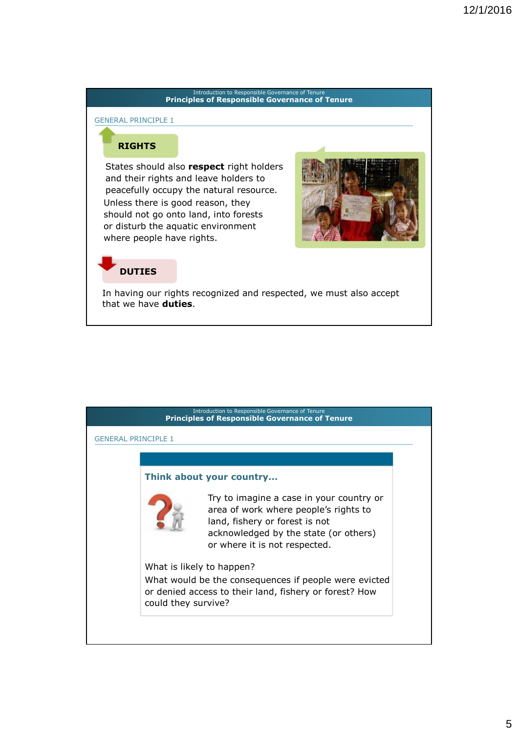#### GENERAL PRINCIPLE 1

## **RIGHTS**

States should also **respect** right holders and their rights and leave holders to peacefully occupy the natural resource. Unless there is good reason, they should not go onto land, into forests or disturb the aquatic environment where people have rights.



## **DUTIES**

In having our rights recognized and respected, we must also accept that we have **duties**.

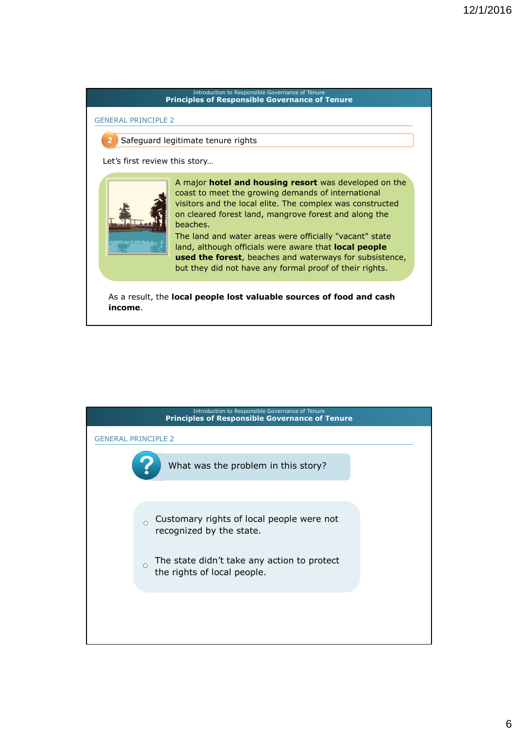

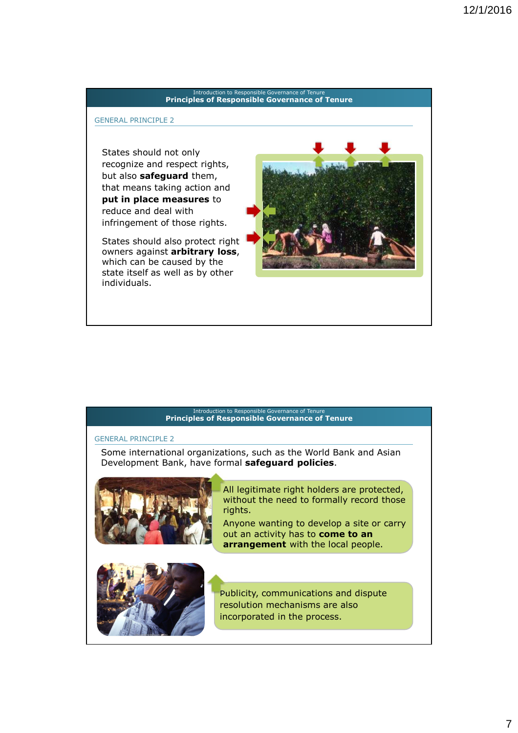#### GENERAL PRINCIPLE 2

States should not only recognize and respect rights, but also **safeguard** them, that means taking action and **put in place measures** to reduce and deal with infringement of those rights.

States should also protect right owners against **arbitrary loss**, which can be caused by the state itself as well as by other individuals.



#### Introduction to Responsible Governance of Tenur **Principles of Responsible Governance of Tenure**

#### GENERAL PRINCIPLE 2

Some international organizations, such as the World Bank and Asian Development Bank, have formal **safeguard policies**.



### All legitimate right holders are protected, without the need to formally record those rights.

Anyone wanting to develop a site or carry out an activity has to **come to an arrangement** with the local people.



Publicity, communications and dispute resolution mechanisms are also incorporated in the process.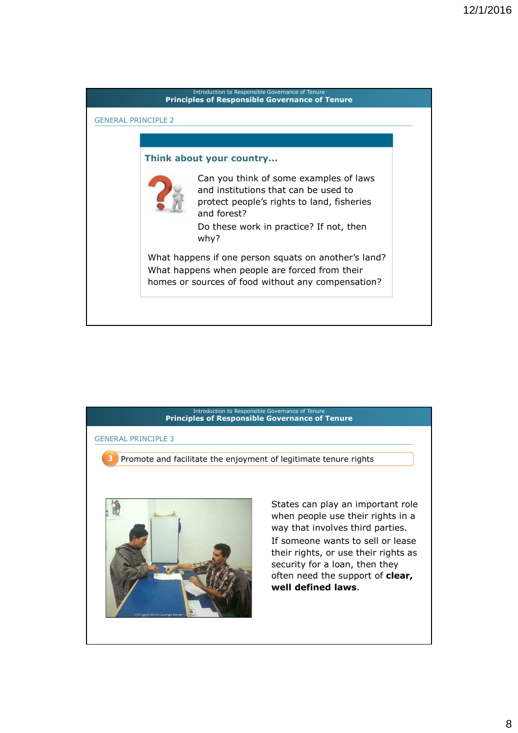



8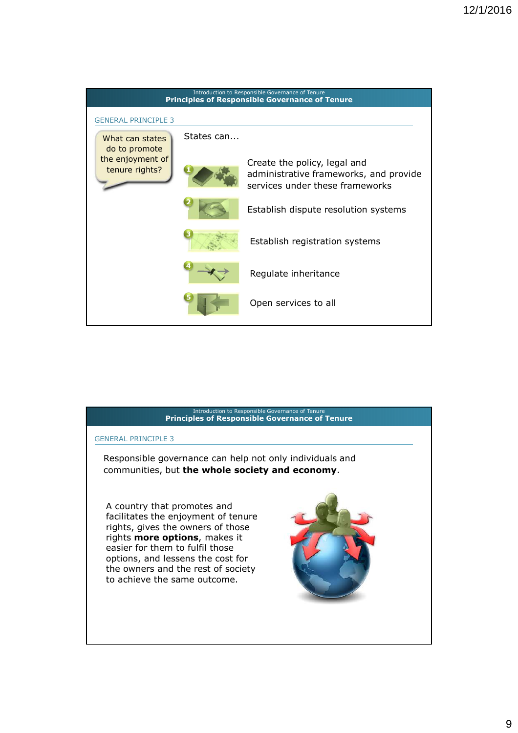

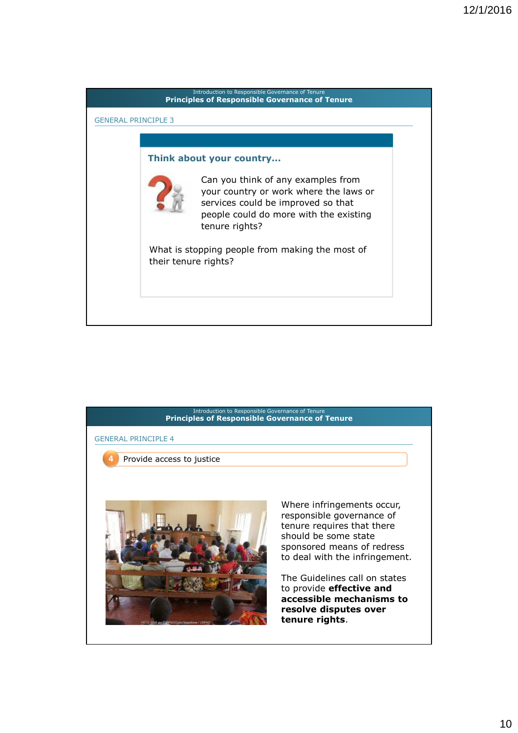

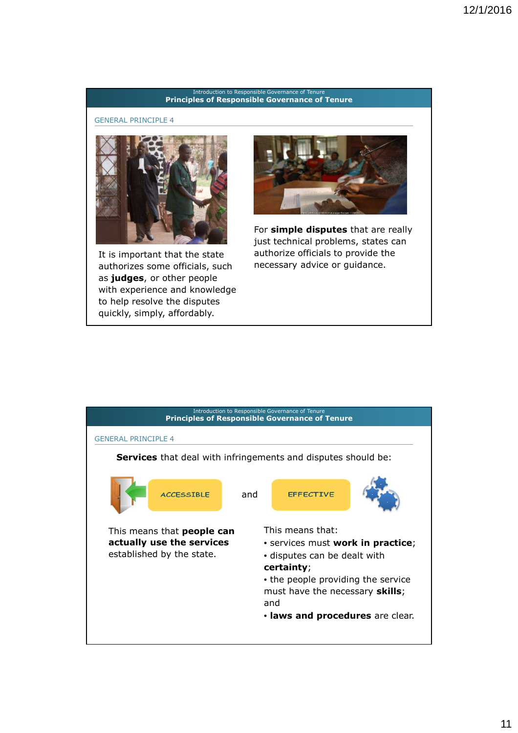#### GENERAL PRINCIPLE 4



It is important that the state authorizes some officials, such as **judges**, or other people with experience and knowledge to help resolve the disputes quickly, simply, affordably.



For **simple disputes** that are really just technical problems, states can authorize officials to provide the necessary advice or guidance.

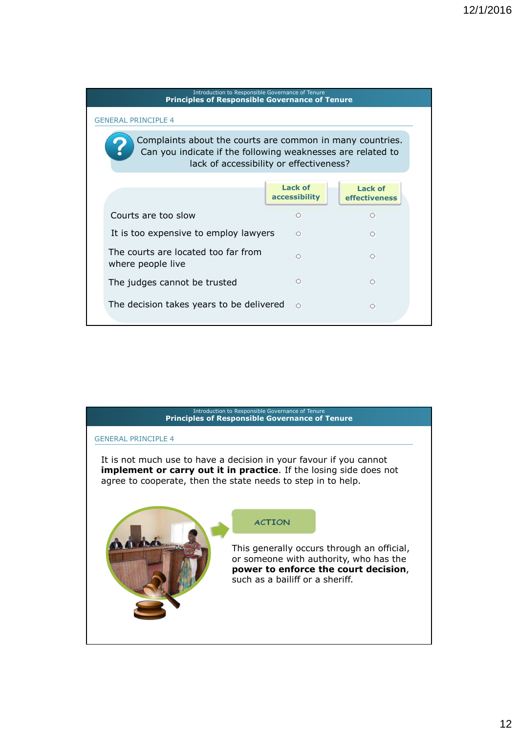#### Introduction to Responsible Governance of Tenure **Principles of Responsible Governance of Tenure 3. Principles of responsible governance of tenure** GENERAL PRINCIPLE 4 Complaints about the courts are common in many countries. Can you indicate if the following weaknesses are related to lack of accessibility or effectiveness? **Lack of Lack of accessibility effectiveness**  Courts are too slow  $\circ$  $\circ$ It is too expensive to employ lawyers  $\circ$  $\circ$ The courts are located too far from  $\circ$  $\circ$ where people live The judges cannot be trusted  $\circ$  $\circ$ The decision takes years to be delivered o  $\circ$

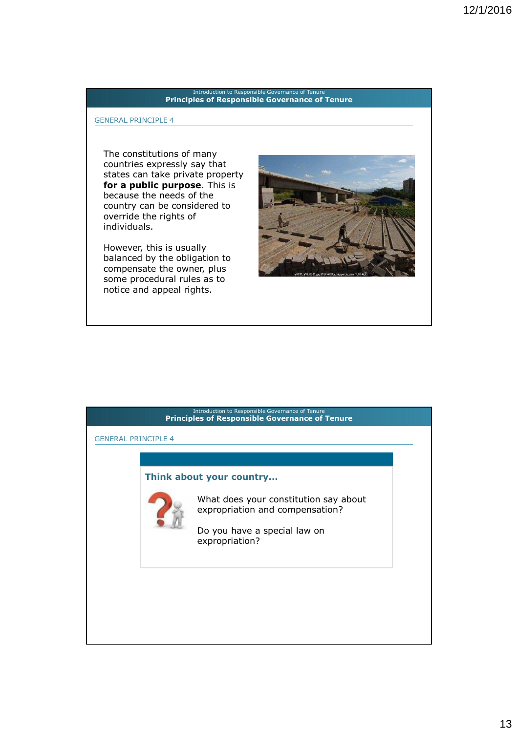#### GENERAL PRINCIPLE 4

The constitutions of many countries expressly say that states can take private property **for a public purpose**. This is because the needs of the country can be considered to override the rights of individuals.

However, this is usually balanced by the obligation to compensate the owner, plus some procedural rules as to notice and appeal rights.



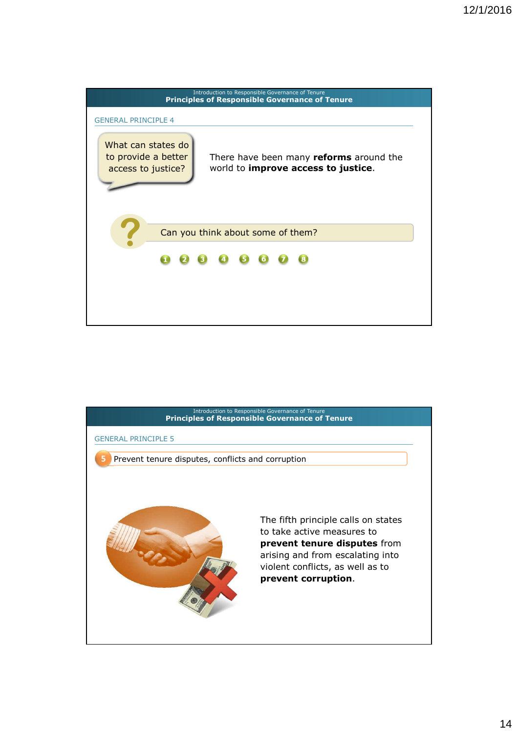

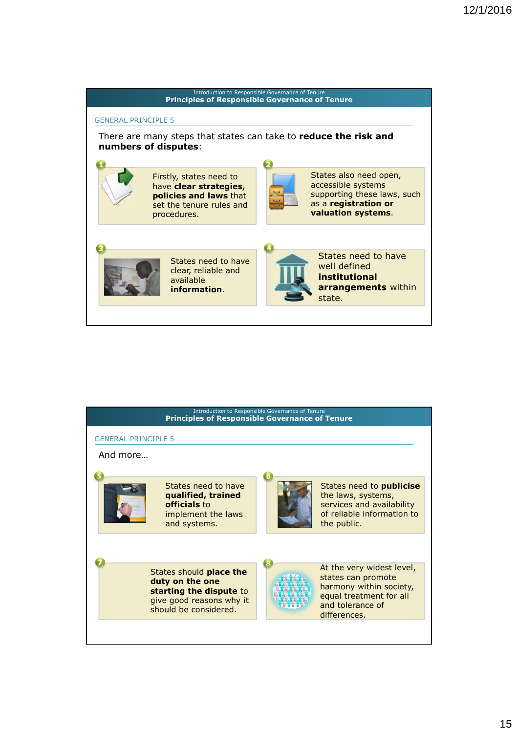

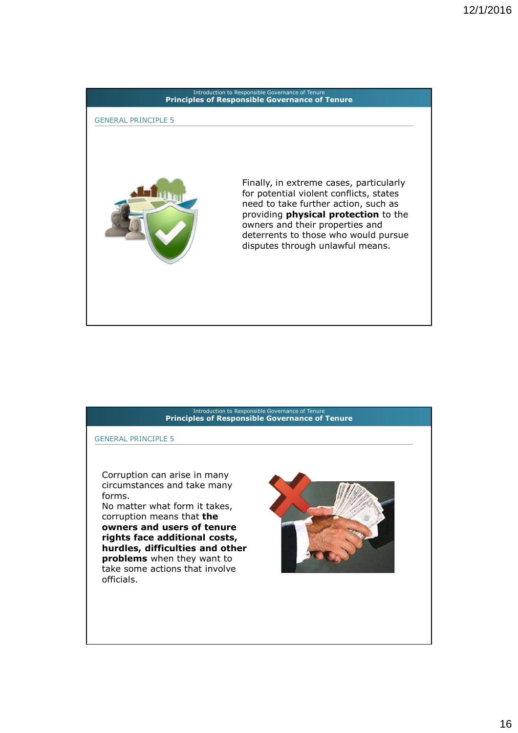# Introduction to Responsible Governance of Tenure **Principles of Responsible Governance of Tenure 3. Principles of responsible governance of tenure** Finally, in extreme cases, particularly for potential violent conflicts, states need to take further action, such as providing **physical protection** to the owners and their properties and deterrents to those who would pursue disputes through unlawful means. GENERAL PRINCIPLE 5

#### Introduction to Responsible Governance of Tenure **Principles of Responsible Governance of Tenure 3. Principles of responsible governance of tenure**

GENERAL PRINCIPLE 5

Corruption can arise in many circumstances and take many forms.

No matter what form it takes, corruption means that **the owners and users of tenure rights face additional costs, hurdles, difficulties and other problems** when they want to take some actions that involve officials.